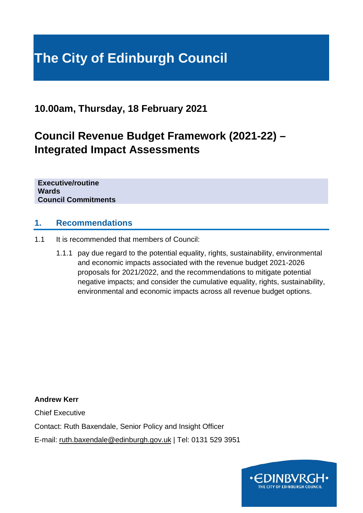# **The City of Edinburgh Council**

**10.00am, Thursday, 18 February 2021**

## **Council Revenue Budget Framework (2021-22) – Integrated Impact Assessments**

**Executive/routine Wards Council Commitments**

## **1. Recommendations**

- 1.1 It is recommended that members of Council:
	- 1.1.1 pay due regard to the potential equality, rights, sustainability, environmental and economic impacts associated with the revenue budget 2021-2026 proposals for 2021/2022, and the recommendations to mitigate potential negative impacts; and consider the cumulative equality, rights, sustainability, environmental and economic impacts across all revenue budget options.

**Andrew Kerr** Chief Executive Contact: Ruth Baxendale, Senior Policy and Insight Officer E-mail: ruth.baxendale@edinburgh.gov.uk | Tel: 0131 529 3951

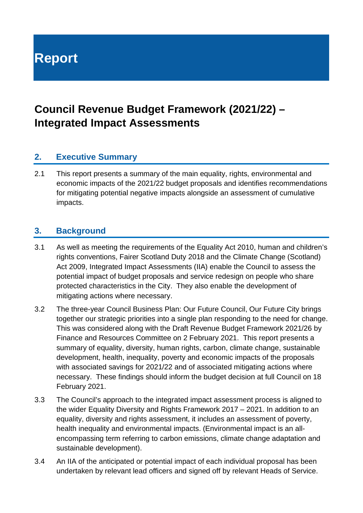# **Report**

## **Council Revenue Budget Framework (2021/22) – Integrated Impact Assessments**

## **2. Executive Summary**

2.1 This report presents a summary of the main equality, rights, environmental and economic impacts of the 2021/22 budget proposals and identifies recommendations for mitigating potential negative impacts alongside an assessment of cumulative impacts.

## **3. Background**

- 3.1 As well as meeting the requirements of the Equality Act 2010, human and children's rights conventions, Fairer Scotland Duty 2018 and the Climate Change (Scotland) Act 2009, Integrated Impact Assessments (IIA) enable the Council to assess the potential impact of budget proposals and service redesign on people who share protected characteristics in the City. They also enable the development of mitigating actions where necessary.
- 3.2 The three-year Council Business Plan: Our Future Council, Our Future City brings together our strategic priorities into a single plan responding to the need for change. This was considered along with the Draft Revenue Budget Framework 2021/26 by Finance and Resources Committee on 2 February 2021. This report presents a summary of equality, diversity, human rights, carbon, climate change, sustainable development, health, inequality, poverty and economic impacts of the proposals with associated savings for 2021/22 and of associated mitigating actions where necessary. These findings should inform the budget decision at full Council on 18 February 2021.
- 3.3 The Council's approach to the integrated impact assessment process is aligned to the wider Equality Diversity and Rights Framework 2017 – 2021. In addition to an equality, diversity and rights assessment, it includes an assessment of poverty, health inequality and environmental impacts. (Environmental impact is an allencompassing term referring to carbon emissions, climate change adaptation and sustainable development).
- 3.4 An IIA of the anticipated or potential impact of each individual proposal has been undertaken by relevant lead officers and signed off by relevant Heads of Service.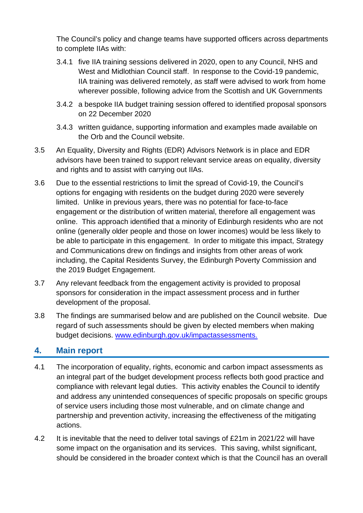The Council's policy and change teams have supported officers across departments to complete IIAs with:

- 3.4.1 five IIA training sessions delivered in 2020, open to any Council, NHS and West and Midlothian Council staff. In response to the Covid-19 pandemic, IIA training was delivered remotely, as staff were advised to work from home wherever possible, following advice from the Scottish and UK Governments
- 3.4.2 a bespoke IIA budget training session offered to identified proposal sponsors on 22 December 2020
- 3.4.3 written guidance, supporting information and examples made available on the Orb and the Council website.
- 3.5 An Equality, Diversity and Rights (EDR) Advisors Network is in place and EDR advisors have been trained to support relevant service areas on equality, diversity and rights and to assist with carrying out IIAs.
- 3.6 Due to the essential restrictions to limit the spread of Covid-19, the Council's options for engaging with residents on the budget during 2020 were severely limited. Unlike in previous years, there was no potential for face-to-face engagement or the distribution of written material, therefore all engagement was online. This approach identified that a minority of Edinburgh residents who are not online (generally older people and those on lower incomes) would be less likely to be able to participate in this engagement. In order to mitigate this impact, Strategy and Communications drew on findings and insights from other areas of work including, the Capital Residents Survey, the Edinburgh Poverty Commission and the 2019 Budget Engagement.
- 3.7 Any relevant feedback from the engagement activity is provided to proposal sponsors for consideration in the impact assessment process and in further development of the proposal.
- 3.8 The findings are summarised below and are published on the Council website. Due regard of such assessments should be given by elected members when making budget decisions. [www.edinburgh.gov.uk/impactassessments.](http://www.edinburgh.gov.uk/impactassessments)

## **4. Main report**

- 4.1 The incorporation of equality, rights, economic and carbon impact assessments as an integral part of the budget development process reflects both good practice and compliance with relevant legal duties. This activity enables the Council to identify and address any unintended consequences of specific proposals on specific groups of service users including those most vulnerable, and on climate change and partnership and prevention activity, increasing the effectiveness of the mitigating actions.
- 4.2 It is inevitable that the need to deliver total savings of £21m in 2021/22 will have some impact on the organisation and its services. This saving, whilst significant, should be considered in the broader context which is that the Council has an overall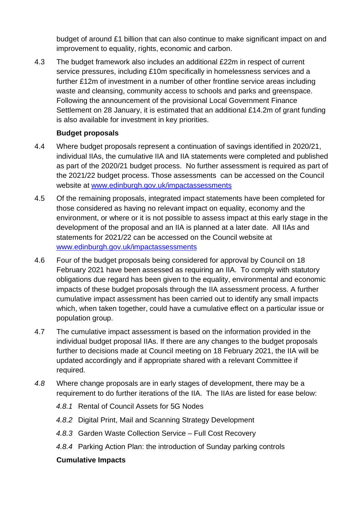budget of around £1 billion that can also continue to make significant impact on and improvement to equality, rights, economic and carbon.

4.3 The budget framework also includes an additional £22m in respect of current service pressures, including £10m specifically in homelessness services and a further £12m of investment in a number of other frontline service areas including waste and cleansing, community access to schools and parks and greenspace. Following the announcement of the provisional Local Government Finance Settlement on 28 January, it is estimated that an additional £14.2m of grant funding is also available for investment in key priorities.

### **Budget proposals**

- 4.4 Where budget proposals represent a continuation of savings identified in 2020/21, individual IIAs, the cumulative IIA and IIA statements were completed and published as part of the 2020/21 budget process. No further assessment is required as part of the 2021/22 budget process. Those assessments can be accessed on the Council website at [www.edinburgh.gov.uk/impactassessments](http://www.edinburgh.gov.uk/impactassessments)
- 4.5 Of the remaining proposals, integrated impact statements have been completed for those considered as having no relevant impact on equality, economy and the environment, or where or it is not possible to assess impact at this early stage in the development of the proposal and an IIA is planned at a later date. All IIAs and statements for 2021/22 can be accessed on the Council website at [www.edinburgh.gov.uk/impactassessments](http://www.edinburgh.gov.uk/impactassessments)
- 4.6 Four of the budget proposals being considered for approval by Council on 18 February 2021 have been assessed as requiring an IIA. To comply with statutory obligations due regard has been given to the equality, environmental and economic impacts of these budget proposals through the IIA assessment process. A further cumulative impact assessment has been carried out to identify any small impacts which, when taken together, could have a cumulative effect on a particular issue or population group.
- 4.7 The cumulative impact assessment is based on the information provided in the individual budget proposal IIAs. If there are any changes to the budget proposals further to decisions made at Council meeting on 18 February 2021, the IIA will be updated accordingly and if appropriate shared with a relevant Committee if required.
- *4.8* Where change proposals are in early stages of development, there may be a requirement to do further iterations of the IIA. The IIAs are listed for ease below:
	- *4.8.1* Rental of Council Assets for 5G Nodes
	- *4.8.2* Digital Print, Mail and Scanning Strategy Development
	- *4.8.3* Garden Waste Collection Service Full Cost Recovery
	- *4.8.4* Parking Action Plan: the introduction of Sunday parking controls

#### **Cumulative Impacts**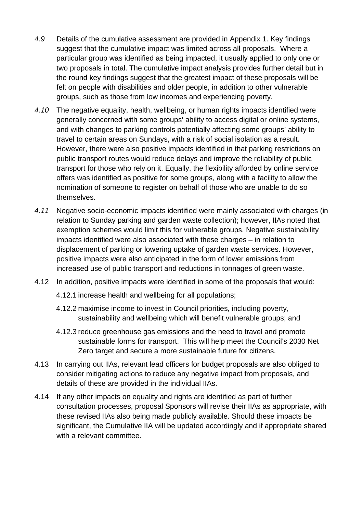- *4.9* Details of the cumulative assessment are provided in Appendix 1. Key findings suggest that the cumulative impact was limited across all proposals. Where a particular group was identified as being impacted, it usually applied to only one or two proposals in total. The cumulative impact analysis provides further detail but in the round key findings suggest that the greatest impact of these proposals will be felt on people with disabilities and older people, in addition to other vulnerable groups, such as those from low incomes and experiencing poverty.
- *4.10* The negative equality, health, wellbeing, or human rights impacts identified were generally concerned with some groups' ability to access digital or online systems, and with changes to parking controls potentially affecting some groups' ability to travel to certain areas on Sundays, with a risk of social isolation as a result. However, there were also positive impacts identified in that parking restrictions on public transport routes would reduce delays and improve the reliability of public transport for those who rely on it. Equally, the flexibility afforded by online service offers was identified as positive for some groups, along with a facility to allow the nomination of someone to register on behalf of those who are unable to do so themselves.
- *4.11* Negative socio-economic impacts identified were mainly associated with charges (in relation to Sunday parking and garden waste collection); however, IIAs noted that exemption schemes would limit this for vulnerable groups. Negative sustainability impacts identified were also associated with these charges – in relation to displacement of parking or lowering uptake of garden waste services. However, positive impacts were also anticipated in the form of lower emissions from increased use of public transport and reductions in tonnages of green waste.
- 4.12 In addition, positive impacts were identified in some of the proposals that would:
	- 4.12.1 increase health and wellbeing for all populations;
	- 4.12.2 maximise income to invest in Council priorities, including poverty, sustainability and wellbeing which will benefit vulnerable groups; and
	- 4.12.3 reduce greenhouse gas emissions and the need to travel and promote sustainable forms for transport. This will help meet the Council's 2030 Net Zero target and secure a more sustainable future for citizens.
- 4.13 In carrying out IIAs, relevant lead officers for budget proposals are also obliged to consider mitigating actions to reduce any negative impact from proposals, and details of these are provided in the individual IIAs.
- 4.14 If any other impacts on equality and rights are identified as part of further consultation processes, proposal Sponsors will revise their IIAs as appropriate, with these revised IIAs also being made publicly available. Should these impacts be significant, the Cumulative IIA will be updated accordingly and if appropriate shared with a relevant committee.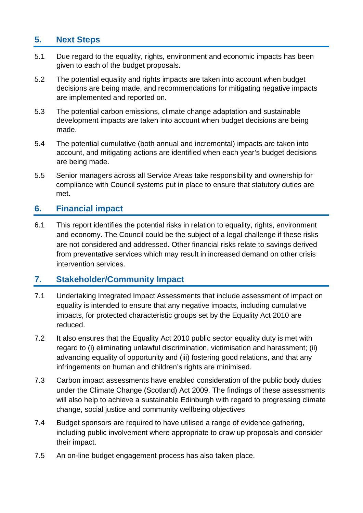## **5. Next Steps**

- 5.1 Due regard to the equality, rights, environment and economic impacts has been given to each of the budget proposals.
- 5.2 The potential equality and rights impacts are taken into account when budget decisions are being made, and recommendations for mitigating negative impacts are implemented and reported on.
- 5.3 The potential carbon emissions, climate change adaptation and sustainable development impacts are taken into account when budget decisions are being made.
- 5.4 The potential cumulative (both annual and incremental) impacts are taken into account, and mitigating actions are identified when each year's budget decisions are being made.
- 5.5 Senior managers across all Service Areas take responsibility and ownership for compliance with Council systems put in place to ensure that statutory duties are met.

## **6. Financial impact**

6.1 This report identifies the potential risks in relation to equality, rights, environment and economy. The Council could be the subject of a legal challenge if these risks are not considered and addressed. Other financial risks relate to savings derived from preventative services which may result in increased demand on other crisis intervention services.

## **7. Stakeholder/Community Impact**

- 7.1 Undertaking Integrated Impact Assessments that include assessment of impact on equality is intended to ensure that any negative impacts, including cumulative impacts, for protected characteristic groups set by the Equality Act 2010 are reduced.
- 7.2 It also ensures that the Equality Act 2010 public sector equality duty is met with regard to (i) eliminating unlawful discrimination, victimisation and harassment; (ii) advancing equality of opportunity and (iii) fostering good relations, and that any infringements on human and children's rights are minimised.
- 7.3 Carbon impact assessments have enabled consideration of the public body duties under the Climate Change (Scotland) Act 2009. The findings of these assessments will also help to achieve a sustainable Edinburgh with regard to progressing climate change, social justice and community wellbeing objectives
- 7.4 Budget sponsors are required to have utilised a range of evidence gathering, including public involvement where appropriate to draw up proposals and consider their impact.
- 7.5 An on-line budget engagement process has also taken place.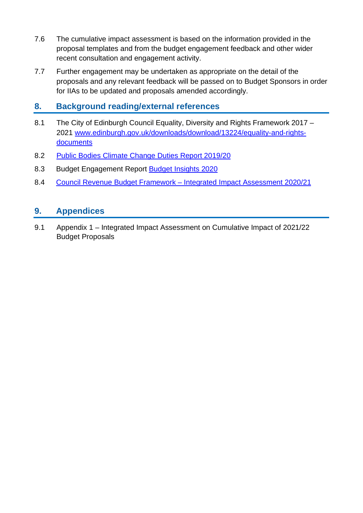- 7.6 The cumulative impact assessment is based on the information provided in the proposal templates and from the budget engagement feedback and other wider recent consultation and engagement activity.
- 7.7 Further engagement may be undertaken as appropriate on the detail of the proposals and any relevant feedback will be passed on to Budget Sponsors in order for IIAs to be updated and proposals amended accordingly.

## **8. Background reading/external references**

- 8.1 The City of Edinburgh Council Equality, Diversity and Rights Framework 2017 2021 [www.edinburgh.gov.uk/downloads/download/13224/equality-and-rights](http://www.edinburgh.gov.uk/downloads/download/13224/equality-and-rights-documents)[documents](http://www.edinburgh.gov.uk/downloads/download/13224/equality-and-rights-documents)
- 8.2 [Public Bodies Climate Change Duties Report 2019/20](https://democracy.edinburgh.gov.uk/ieIssueDetails.aspx?IId=14272&PlanId=0&Opt=3#AI19327)
- 8.3 Budget Engagement Report [Budget Insights 2020](https://democracy.edinburgh.gov.uk/mgIssueHistoryHome.aspx?IId=15434)
- 8.4 Council Revenue Budget Framework [Integrated Impact Assessment 2020/21](https://democracy.edinburgh.gov.uk/ieListDocuments.aspx?CId=150&MId=413&Ver=4)

## **9. Appendices**

9.1 Appendix 1 – Integrated Impact Assessment on Cumulative Impact of 2021/22 Budget Proposals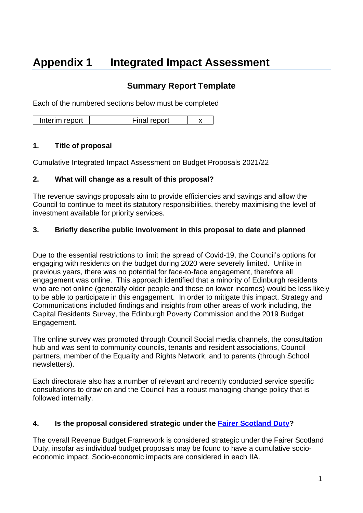# **Appendix 1 Integrated Impact Assessment**

## **Summary Report Template**

Each of the numbered sections below must be completed

Interim report  $\vert$   $\vert$  Final report  $\vert$  x

#### **1. Title of proposal**

Cumulative Integrated Impact Assessment on Budget Proposals 2021/22

#### **2. What will change as a result of this proposal?**

The revenue savings proposals aim to provide efficiencies and savings and allow the Council to continue to meet its statutory responsibilities, thereby maximising the level of investment available for priority services.

#### **3. Briefly describe public involvement in this proposal to date and planned**

Due to the essential restrictions to limit the spread of Covid-19, the Council's options for engaging with residents on the budget during 2020 were severely limited. Unlike in previous years, there was no potential for face-to-face engagement, therefore all engagement was online. This approach identified that a minority of Edinburgh residents who are not online (generally older people and those on lower incomes) would be less likely to be able to participate in this engagement. In order to mitigate this impact, Strategy and Communications included findings and insights from other areas of work including, the Capital Residents Survey, the Edinburgh Poverty Commission and the 2019 Budget Engagement.

The online survey was promoted through Council Social media channels, the consultation hub and was sent to community councils, tenants and resident associations, Council partners, member of the Equality and Rights Network, and to parents (through School newsletters).

Each directorate also has a number of relevant and recently conducted service specific consultations to draw on and the Council has a robust managing change policy that is followed internally.

#### **4. Is the proposal considered strategic under the [Fairer Scotland Duty?](https://www.gov.scot/publications/fairer-scotland-duty-interim-guidance-public-bodies/)**

The overall Revenue Budget Framework is considered strategic under the Fairer Scotland Duty, insofar as individual budget proposals may be found to have a cumulative socioeconomic impact. Socio-economic impacts are considered in each IIA.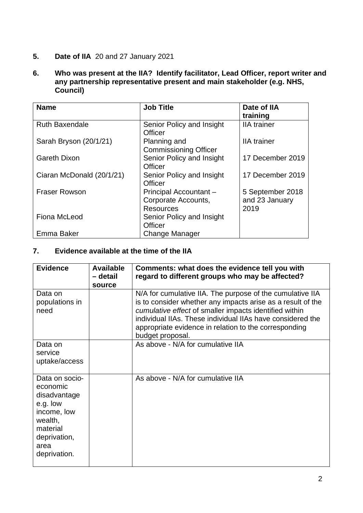#### **5. Date of IIA** 20 and 27 January 2021

**6. Who was present at the IIA? Identify facilitator, Lead Officer, report writer and any partnership representative present and main stakeholder (e.g. NHS, Council)** 

| <b>Name</b>               | <b>Job Title</b>             | Date of IIA        |
|---------------------------|------------------------------|--------------------|
|                           |                              | training           |
| <b>Ruth Baxendale</b>     | Senior Policy and Insight    | <b>IIA</b> trainer |
|                           | Officer                      |                    |
| Sarah Bryson (20/1/21)    | Planning and                 | <b>IIA</b> trainer |
|                           | <b>Commissioning Officer</b> |                    |
| <b>Gareth Dixon</b>       | Senior Policy and Insight    | 17 December 2019   |
|                           | Officer                      |                    |
| Ciaran McDonald (20/1/21) | Senior Policy and Insight    | 17 December 2019   |
|                           | Officer                      |                    |
| <b>Fraser Rowson</b>      | Principal Accountant -       | 5 September 2018   |
|                           | Corporate Accounts,          | and 23 January     |
|                           | <b>Resources</b>             | 2019               |
| Fiona McLeod              | Senior Policy and Insight    |                    |
|                           | Officer                      |                    |
| Emma Baker                | <b>Change Manager</b>        |                    |

#### **7. Evidence available at the time of the IIA**

| <b>Evidence</b>                                                                                                                      | <b>Available</b><br>- detail<br>source | Comments: what does the evidence tell you with<br>regard to different groups who may be affected?                                                                                                                                                                                                                             |
|--------------------------------------------------------------------------------------------------------------------------------------|----------------------------------------|-------------------------------------------------------------------------------------------------------------------------------------------------------------------------------------------------------------------------------------------------------------------------------------------------------------------------------|
| Data on<br>populations in<br>need                                                                                                    |                                        | N/A for cumulative IIA. The purpose of the cumulative IIA<br>is to consider whether any impacts arise as a result of the<br>cumulative effect of smaller impacts identified within<br>individual IIAs. These individual IIAs have considered the<br>appropriate evidence in relation to the corresponding<br>budget proposal. |
| Data on<br>service<br>uptake/access                                                                                                  |                                        | As above - N/A for cumulative IIA                                                                                                                                                                                                                                                                                             |
| Data on socio-<br>economic<br>disadvantage<br>e.g. low<br>income, low<br>wealth,<br>material<br>deprivation,<br>area<br>deprivation. |                                        | As above - N/A for cumulative IIA                                                                                                                                                                                                                                                                                             |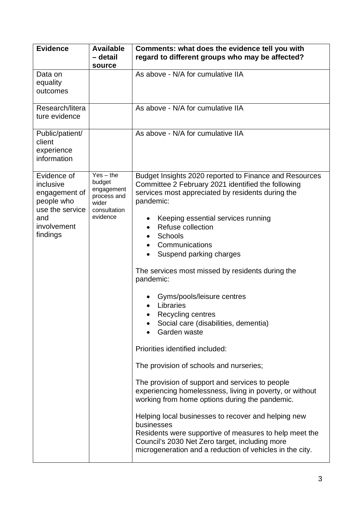| <b>Evidence</b>                                                                                              | <b>Available</b><br>- detail<br>source                                                  | Comments: what does the evidence tell you with<br>regard to different groups who may be affected?                                                                                                                                                                                                                                                                                                                                                                                                                                                                                                                                                                                                                                                                                                                                                                                                                                                                                                                       |
|--------------------------------------------------------------------------------------------------------------|-----------------------------------------------------------------------------------------|-------------------------------------------------------------------------------------------------------------------------------------------------------------------------------------------------------------------------------------------------------------------------------------------------------------------------------------------------------------------------------------------------------------------------------------------------------------------------------------------------------------------------------------------------------------------------------------------------------------------------------------------------------------------------------------------------------------------------------------------------------------------------------------------------------------------------------------------------------------------------------------------------------------------------------------------------------------------------------------------------------------------------|
| Data on<br>equality<br>outcomes                                                                              |                                                                                         | As above - N/A for cumulative IIA                                                                                                                                                                                                                                                                                                                                                                                                                                                                                                                                                                                                                                                                                                                                                                                                                                                                                                                                                                                       |
| Research/litera<br>ture evidence                                                                             |                                                                                         | As above - N/A for cumulative IIA                                                                                                                                                                                                                                                                                                                                                                                                                                                                                                                                                                                                                                                                                                                                                                                                                                                                                                                                                                                       |
| Public/patient/<br>client<br>experience<br>information                                                       |                                                                                         | As above - N/A for cumulative IIA                                                                                                                                                                                                                                                                                                                                                                                                                                                                                                                                                                                                                                                                                                                                                                                                                                                                                                                                                                                       |
| Evidence of<br>inclusive<br>engagement of<br>people who<br>use the service<br>and<br>involvement<br>findings | $Yes - the$<br>budget<br>engagement<br>process and<br>wider<br>consultation<br>evidence | Budget Insights 2020 reported to Finance and Resources<br>Committee 2 February 2021 identified the following<br>services most appreciated by residents during the<br>pandemic:<br>Keeping essential services running<br>Refuse collection<br>$\bullet$<br><b>Schools</b><br>Communications<br>$\bullet$<br>Suspend parking charges<br>The services most missed by residents during the<br>pandemic:<br>Gyms/pools/leisure centres<br>Libraries<br>Recycling centres<br>Social care (disabilities, dementia)<br>Garden waste<br>Priorities identified included:<br>The provision of schools and nurseries;<br>The provision of support and services to people<br>experiencing homelessness, living in poverty, or without<br>working from home options during the pandemic.<br>Helping local businesses to recover and helping new<br>businesses<br>Residents were supportive of measures to help meet the<br>Council's 2030 Net Zero target, including more<br>microgeneration and a reduction of vehicles in the city. |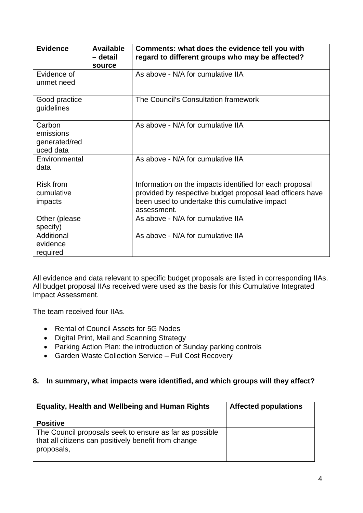| <b>Evidence</b>                                   | <b>Available</b><br>– detail<br>source | Comments: what does the evidence tell you with<br>regard to different groups who may be affected?                                                                                    |
|---------------------------------------------------|----------------------------------------|--------------------------------------------------------------------------------------------------------------------------------------------------------------------------------------|
| Evidence of<br>unmet need                         |                                        | As above - N/A for cumulative IIA                                                                                                                                                    |
| Good practice<br>guidelines                       |                                        | The Council's Consultation framework                                                                                                                                                 |
| Carbon<br>emissions<br>generated/red<br>uced data |                                        | As above - N/A for cumulative IIA                                                                                                                                                    |
| Environmental<br>data                             |                                        | As above - N/A for cumulative IIA                                                                                                                                                    |
| <b>Risk from</b><br>cumulative<br>impacts         |                                        | Information on the impacts identified for each proposal<br>provided by respective budget proposal lead officers have<br>been used to undertake this cumulative impact<br>assessment. |
| Other (please<br>specify)                         |                                        | As above - N/A for cumulative IIA                                                                                                                                                    |
| Additional<br>evidence<br>required                |                                        | As above - N/A for cumulative IIA                                                                                                                                                    |

All evidence and data relevant to specific budget proposals are listed in corresponding IIAs. All budget proposal IIAs received were used as the basis for this Cumulative Integrated Impact Assessment.

The team received four IIAs.

- Rental of Council Assets for 5G Nodes
- Digital Print, Mail and Scanning Strategy
- Parking Action Plan: the introduction of Sunday parking controls
- Garden Waste Collection Service Full Cost Recovery

## **8. In summary, what impacts were identified, and which groups will they affect?**

| <b>Equality, Health and Wellbeing and Human Rights</b>                                                                        | <b>Affected populations</b> |
|-------------------------------------------------------------------------------------------------------------------------------|-----------------------------|
| <b>Positive</b>                                                                                                               |                             |
| The Council proposals seek to ensure as far as possible<br>that all citizens can positively benefit from change<br>proposals, |                             |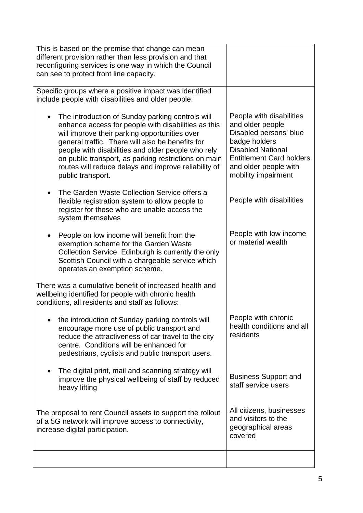| This is based on the premise that change can mean<br>different provision rather than less provision and that<br>reconfiguring services is one way in which the Council<br>can see to protect front line capacity.                                                                                                                                                                                                    |                                                                                                                                                                                                        |
|----------------------------------------------------------------------------------------------------------------------------------------------------------------------------------------------------------------------------------------------------------------------------------------------------------------------------------------------------------------------------------------------------------------------|--------------------------------------------------------------------------------------------------------------------------------------------------------------------------------------------------------|
| Specific groups where a positive impact was identified<br>include people with disabilities and older people:                                                                                                                                                                                                                                                                                                         |                                                                                                                                                                                                        |
| The introduction of Sunday parking controls will<br>$\bullet$<br>enhance access for people with disabilities as this<br>will improve their parking opportunities over<br>general traffic. There will also be benefits for<br>people with disabilities and older people who rely<br>on public transport, as parking restrictions on main<br>routes will reduce delays and improve reliability of<br>public transport. | People with disabilities<br>and older people<br>Disabled persons' blue<br>badge holders<br><b>Disabled National</b><br><b>Entitlement Card holders</b><br>and older people with<br>mobility impairment |
| The Garden Waste Collection Service offers a<br>flexible registration system to allow people to<br>register for those who are unable access the<br>system themselves                                                                                                                                                                                                                                                 | People with disabilities                                                                                                                                                                               |
| People on low income will benefit from the<br>exemption scheme for the Garden Waste<br>Collection Service. Edinburgh is currently the only<br>Scottish Council with a chargeable service which<br>operates an exemption scheme.                                                                                                                                                                                      | People with low income<br>or material wealth                                                                                                                                                           |
| There was a cumulative benefit of increased health and<br>wellbeing identified for people with chronic health<br>conditions, all residents and staff as follows:                                                                                                                                                                                                                                                     |                                                                                                                                                                                                        |
| the introduction of Sunday parking controls will<br>encourage more use of public transport and<br>reduce the attractiveness of car travel to the city<br>centre. Conditions will be enhanced for<br>pedestrians, cyclists and public transport users.                                                                                                                                                                | People with chronic<br>health conditions and all<br>residents                                                                                                                                          |
| The digital print, mail and scanning strategy will<br>improve the physical wellbeing of staff by reduced<br>heavy lifting                                                                                                                                                                                                                                                                                            | <b>Business Support and</b><br>staff service users                                                                                                                                                     |
| The proposal to rent Council assets to support the rollout<br>of a 5G network will improve access to connectivity,<br>increase digital participation.                                                                                                                                                                                                                                                                | All citizens, businesses<br>and visitors to the<br>geographical areas<br>covered                                                                                                                       |
|                                                                                                                                                                                                                                                                                                                                                                                                                      |                                                                                                                                                                                                        |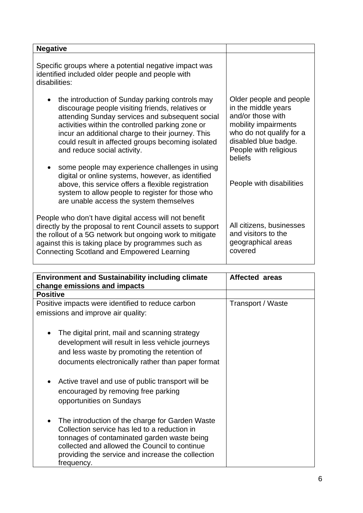| <b>Negative</b>                                                                                                                                                                                                                                                                                                                                     |                                                                                                                                                                                     |
|-----------------------------------------------------------------------------------------------------------------------------------------------------------------------------------------------------------------------------------------------------------------------------------------------------------------------------------------------------|-------------------------------------------------------------------------------------------------------------------------------------------------------------------------------------|
| Specific groups where a potential negative impact was<br>identified included older people and people with<br>disabilities:                                                                                                                                                                                                                          |                                                                                                                                                                                     |
| the introduction of Sunday parking controls may<br>discourage people visiting friends, relatives or<br>attending Sunday services and subsequent social<br>activities within the controlled parking zone or<br>incur an additional charge to their journey. This<br>could result in affected groups becoming isolated<br>and reduce social activity. | Older people and people<br>in the middle years<br>and/or those with<br>mobility impairments<br>who do not qualify for a<br>disabled blue badge.<br>People with religious<br>beliefs |
| some people may experience challenges in using<br>digital or online systems, however, as identified<br>above, this service offers a flexible registration<br>system to allow people to register for those who<br>are unable access the system themselves                                                                                            | People with disabilities                                                                                                                                                            |
| People who don't have digital access will not benefit<br>directly by the proposal to rent Council assets to support<br>the rollout of a 5G network but ongoing work to mitigate<br>against this is taking place by programmes such as<br><b>Connecting Scotland and Empowered Learning</b>                                                          | All citizens, businesses<br>and visitors to the<br>geographical areas<br>covered                                                                                                    |

| <b>Environment and Sustainability including climate</b>                                                                                                                                                                                                            | <b>Affected areas</b> |
|--------------------------------------------------------------------------------------------------------------------------------------------------------------------------------------------------------------------------------------------------------------------|-----------------------|
| change emissions and impacts                                                                                                                                                                                                                                       |                       |
| <b>Positive</b>                                                                                                                                                                                                                                                    |                       |
| Positive impacts were identified to reduce carbon                                                                                                                                                                                                                  | Transport / Waste     |
| emissions and improve air quality:                                                                                                                                                                                                                                 |                       |
| The digital print, mail and scanning strategy<br>$\bullet$<br>development will result in less vehicle journeys<br>and less waste by promoting the retention of<br>documents electronically rather than paper format                                                |                       |
| Active travel and use of public transport will be<br>encouraged by removing free parking<br>opportunities on Sundays                                                                                                                                               |                       |
| The introduction of the charge for Garden Waste<br>Collection service has led to a reduction in<br>tonnages of contaminated garden waste being<br>collected and allowed the Council to continue<br>providing the service and increase the collection<br>frequency. |                       |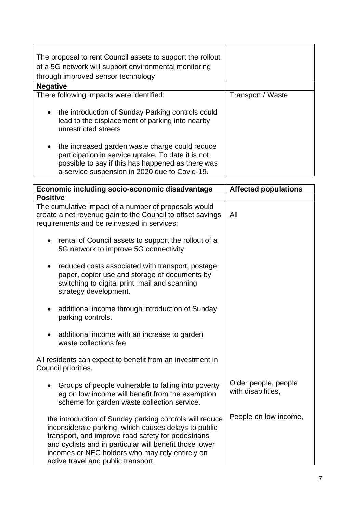| The proposal to rent Council assets to support the rollout<br>of a 5G network will support environmental monitoring<br>through improved sensor technology                                                               |                   |
|-------------------------------------------------------------------------------------------------------------------------------------------------------------------------------------------------------------------------|-------------------|
| <b>Negative</b>                                                                                                                                                                                                         |                   |
| There following impacts were identified:                                                                                                                                                                                | Transport / Waste |
| the introduction of Sunday Parking controls could<br>$\bullet$<br>lead to the displacement of parking into nearby<br>unrestricted streets                                                                               |                   |
| the increased garden waste charge could reduce<br>$\bullet$<br>participation in service uptake. To date it is not<br>possible to say if this has happened as there was<br>a service suspension in 2020 due to Covid-19. |                   |

| Economic including socio-economic disadvantage                                                                                                                                                                                                                                                                             | <b>Affected populations</b>                |
|----------------------------------------------------------------------------------------------------------------------------------------------------------------------------------------------------------------------------------------------------------------------------------------------------------------------------|--------------------------------------------|
| <b>Positive</b>                                                                                                                                                                                                                                                                                                            |                                            |
| The cumulative impact of a number of proposals would<br>create a net revenue gain to the Council to offset savings<br>requirements and be reinvested in services:                                                                                                                                                          | All                                        |
| rental of Council assets to support the rollout of a<br>$\bullet$<br>5G network to improve 5G connectivity                                                                                                                                                                                                                 |                                            |
| reduced costs associated with transport, postage,<br>٠<br>paper, copier use and storage of documents by<br>switching to digital print, mail and scanning<br>strategy development.                                                                                                                                          |                                            |
| additional income through introduction of Sunday<br>parking controls.                                                                                                                                                                                                                                                      |                                            |
| additional income with an increase to garden<br>$\bullet$<br>waste collections fee                                                                                                                                                                                                                                         |                                            |
| All residents can expect to benefit from an investment in<br>Council priorities.                                                                                                                                                                                                                                           |                                            |
| Groups of people vulnerable to falling into poverty<br>$\bullet$<br>eg on low income will benefit from the exemption<br>scheme for garden waste collection service.                                                                                                                                                        | Older people, people<br>with disabilities, |
| the introduction of Sunday parking controls will reduce<br>inconsiderate parking, which causes delays to public<br>transport, and improve road safety for pedestrians<br>and cyclists and in particular will benefit those lower<br>incomes or NEC holders who may rely entirely on<br>active travel and public transport. | People on low income,                      |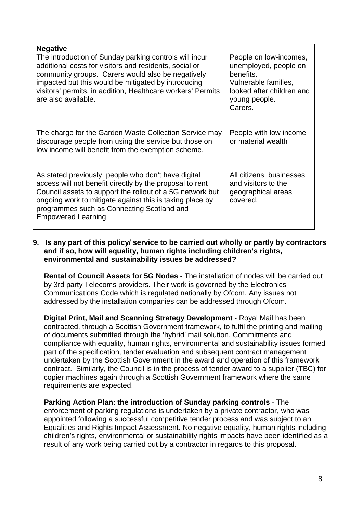| <b>Negative</b>                                                                                                                                                                                                                                                                                                     |                                                                                                                                               |
|---------------------------------------------------------------------------------------------------------------------------------------------------------------------------------------------------------------------------------------------------------------------------------------------------------------------|-----------------------------------------------------------------------------------------------------------------------------------------------|
| The introduction of Sunday parking controls will incur<br>additional costs for visitors and residents, social or<br>community groups. Carers would also be negatively<br>impacted but this would be mitigated by introducing<br>visitors' permits, in addition, Healthcare workers' Permits<br>are also available.  | People on low-incomes,<br>unemployed, people on<br>benefits.<br>Vulnerable families,<br>looked after children and<br>young people.<br>Carers. |
| The charge for the Garden Waste Collection Service may<br>discourage people from using the service but those on<br>low income will benefit from the exemption scheme.                                                                                                                                               | People with low income<br>or material wealth                                                                                                  |
| As stated previously, people who don't have digital<br>access will not benefit directly by the proposal to rent<br>Council assets to support the rollout of a 5G network but<br>ongoing work to mitigate against this is taking place by<br>programmes such as Connecting Scotland and<br><b>Empowered Learning</b> | All citizens, businesses<br>and visitors to the<br>geographical areas<br>covered.                                                             |

**9. Is any part of this policy/ service to be carried out wholly or partly by contractors and if so, how will equality, human rights including children's rights, environmental and sustainability issues be addressed?**

**Rental of Council Assets for 5G Nodes** - The installation of nodes will be carried out by 3rd party Telecoms providers. Their work is governed by the Electronics Communications Code which is regulated nationally by Ofcom. Any issues not addressed by the installation companies can be addressed through Ofcom.

**Digital Print, Mail and Scanning Strategy Development** - Royal Mail has been contracted, through a Scottish Government framework, to fulfil the printing and mailing of documents submitted through the 'hybrid' mail solution. Commitments and compliance with equality, human rights, environmental and sustainability issues formed part of the specification, tender evaluation and subsequent contract management undertaken by the Scottish Government in the award and operation of this framework contract. Similarly, the Council is in the process of tender award to a supplier (TBC) for copier machines again through a Scottish Government framework where the same requirements are expected.

**Parking Action Plan: the introduction of Sunday parking controls** - The enforcement of parking regulations is undertaken by a private contractor, who was appointed following a successful competitive tender process and was subject to an Equalities and Rights Impact Assessment. No negative equality, human rights including children's rights, environmental or sustainability rights impacts have been identified as a result of any work being carried out by a contractor in regards to this proposal.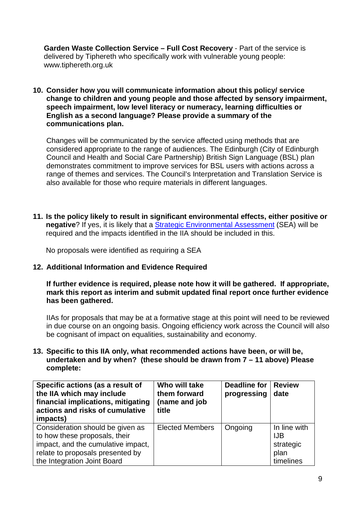**Garden Waste Collection Service – Full Cost Recovery** - Part of the service is delivered by Tiphereth who specifically work with vulnerable voung people: [www.tiphereth.org.uk](http://www.tiphereth.org.uk/)

**10. Consider how you will communicate information about this policy/ service change to children and young people and those affected by sensory impairment, speech impairment, low level literacy or numeracy, learning difficulties or English as a second language? Please provide a summary of the communications plan.**

Changes will be communicated by the service affected using methods that are considered appropriate to the range of audiences. The Edinburgh (City of Edinburgh Council and Health and Social Care Partnership) British Sign Language (BSL) plan demonstrates commitment to improve services for BSL users with actions across a range of themes and services. The Council's Interpretation and Translation Service is also available for those who require materials in different languages.

**11. Is the policy likely to result in significant environmental effects, either positive or negative**? If yes, it is likely that a [Strategic Environmental Assessment](https://www.gov.scot/policies/environmental-assessment/strategic-environmental-assessment-sea/) (SEA) will be required and the impacts identified in the IIA should be included in this.

No proposals were identified as requiring a SEA

#### **12. Additional Information and Evidence Required**

**If further evidence is required, please note how it will be gathered. If appropriate, mark this report as interim and submit updated final report once further evidence has been gathered.**

IIAs for proposals that may be at a formative stage at this point will need to be reviewed in due course on an ongoing basis. Ongoing efficiency work across the Council will also be cognisant of impact on equalities, sustainability and economy.

**13. Specific to this IIA only, what recommended actions have been, or will be, undertaken and by when? (these should be drawn from 7 – 11 above) Please complete:**

| Specific actions (as a result of<br>the IIA which may include<br>financial implications, mitigating<br>actions and risks of cumulative<br>impacts)                         | Who will take<br>them forward<br>(name and job<br>title | Deadline for<br>progressing | <b>Review</b><br>date                                        |
|----------------------------------------------------------------------------------------------------------------------------------------------------------------------------|---------------------------------------------------------|-----------------------------|--------------------------------------------------------------|
| Consideration should be given as<br>to how these proposals, their<br>impact, and the cumulative impact,<br>relate to proposals presented by<br>the Integration Joint Board | <b>Elected Members</b>                                  | Ongoing                     | In line with<br><b>IJB</b><br>strategic<br>plan<br>timelines |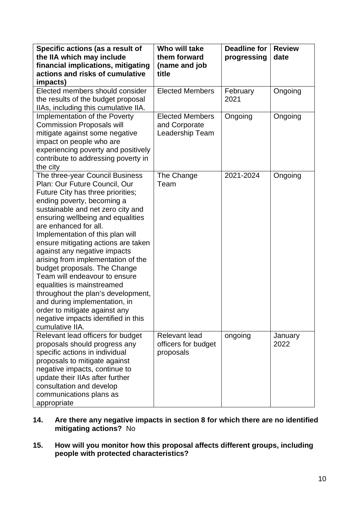| Specific actions (as a result of<br>the IIA which may include<br>financial implications, mitigating<br>actions and risks of cumulative                                                                                                                                                                                                                                                                                                                                                                                                                                                                                                                   | Who will take<br>them forward<br>(name and job<br>title    | <b>Deadline for</b><br>progressing | <b>Review</b><br>date |
|----------------------------------------------------------------------------------------------------------------------------------------------------------------------------------------------------------------------------------------------------------------------------------------------------------------------------------------------------------------------------------------------------------------------------------------------------------------------------------------------------------------------------------------------------------------------------------------------------------------------------------------------------------|------------------------------------------------------------|------------------------------------|-----------------------|
| impacts)                                                                                                                                                                                                                                                                                                                                                                                                                                                                                                                                                                                                                                                 |                                                            |                                    |                       |
| Elected members should consider<br>the results of the budget proposal<br>IIAs, including this cumulative IIA.                                                                                                                                                                                                                                                                                                                                                                                                                                                                                                                                            | <b>Elected Members</b>                                     | February<br>2021                   | Ongoing               |
| Implementation of the Poverty<br><b>Commission Proposals will</b><br>mitigate against some negative<br>impact on people who are<br>experiencing poverty and positively<br>contribute to addressing poverty in<br>the city                                                                                                                                                                                                                                                                                                                                                                                                                                | <b>Elected Members</b><br>and Corporate<br>Leadership Team | Ongoing                            | Ongoing               |
| The three-year Council Business<br>Plan: Our Future Council, Our<br>Future City has three priorities;<br>ending poverty, becoming a<br>sustainable and net zero city and<br>ensuring wellbeing and equalities<br>are enhanced for all.<br>Implementation of this plan will<br>ensure mitigating actions are taken<br>against any negative impacts<br>arising from implementation of the<br>budget proposals. The Change<br>Team will endeavour to ensure<br>equalities is mainstreamed<br>throughout the plan's development,<br>and during implementation, in<br>order to mitigate against any<br>negative impacts identified in this<br>cumulative IIA. | The Change<br>Team                                         | 2021-2024                          | Ongoing               |
| Relevant lead officers for budget<br>proposals should progress any<br>specific actions in individual<br>proposals to mitigate against<br>negative impacts, continue to<br>update their IIAs after further<br>consultation and develop<br>communications plans as<br>appropriate                                                                                                                                                                                                                                                                                                                                                                          | <b>Relevant lead</b><br>officers for budget<br>proposals   | ongoing                            | January<br>2022       |

- **14. Are there any negative impacts in section 8 for which there are no identified mitigating actions?** No
- **15. How will you monitor how this proposal affects different groups, including people with protected characteristics?**